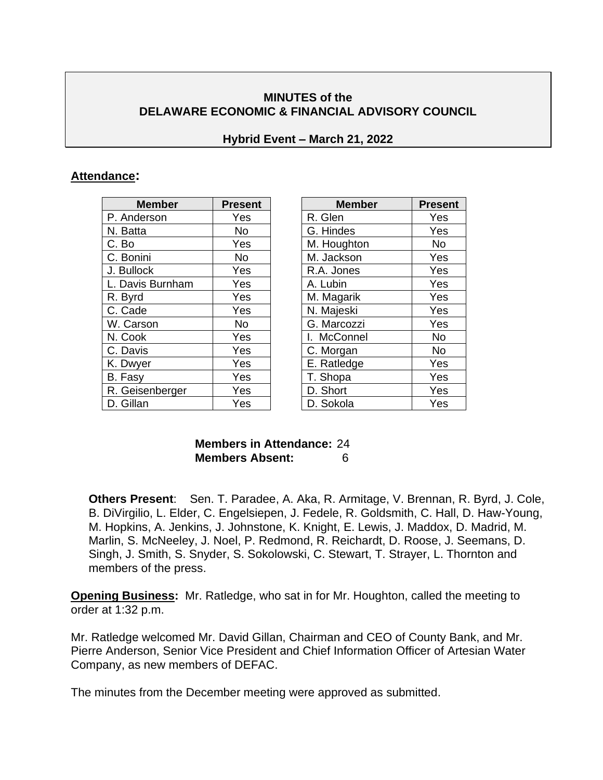### **MINUTES of the DELAWARE ECONOMIC & FINANCIAL ADVISORY COUNCIL**

#### **Hybrid Event – March 21, 2022**

#### **Attendance:**

| <b>Member</b>    | <b>Present</b> | <b>Member</b> | <b>Prese</b> |
|------------------|----------------|---------------|--------------|
| P. Anderson      | Yes            | R. Glen       | Yes          |
| N. Batta         | No.            | G. Hindes     | Yes          |
| C. Bo            | Yes            | M. Houghton   | <b>No</b>    |
| C. Bonini        | <b>No</b>      | M. Jackson    | Yes          |
| J. Bullock       | Yes            | R.A. Jones    | Yes          |
| L. Davis Burnham | Yes            | A. Lubin      | Yes          |
| R. Byrd          | Yes            | M. Magarik    | Yes          |
| C. Cade          | Yes            | N. Majeski    | Yes          |
| W. Carson        | <b>No</b>      | G. Marcozzi   | Yes          |
| N. Cook          | Yes            | I. McConnel   | <b>No</b>    |
| C. Davis         | Yes            | C. Morgan     | No           |
| K. Dwyer         | Yes            | E. Ratledge   | Yes          |
| B. Fasy          | Yes            | T. Shopa      | Yes          |
| R. Geisenberger  | Yes            | D. Short      | Yes          |
| D. Gillan        | Yes            | D. Sokola     | Yes          |

| <b>Member</b>           | <b>Present</b> | <b>Member</b> | <b>Present</b> |
|-------------------------|----------------|---------------|----------------|
| derson                  | Yes            | R. Glen       | Yes            |
| ta                      | <b>No</b>      | G. Hindes     | Yes            |
|                         | Yes            | M. Houghton   | <b>No</b>      |
| $\overline{\text{ini}}$ | No             | M. Jackson    | Yes            |
| ock                     | Yes            | R.A. Jones    | Yes            |
| vis Burnham             | Yes            | A. Lubin      | Yes            |
| ď                       | Yes            | M. Magarik    | Yes            |
| Эp                      | Yes            | N. Majeski    | Yes            |
| rson                    | No             | G. Marcozzi   | Yes            |
| эk                      | Yes            | I. McConnel   | <b>No</b>      |
| √is                     | Yes            | C. Morgan     | <b>No</b>      |
| yer                     | Yes            | E. Ratledge   | Yes            |
| ٠у                      | Yes            | T. Shopa      | Yes            |
| isenberger              | Yes            | D. Short      | Yes            |
| an                      | Yes            | D. Sokola     | Yes            |

#### **Members in Attendance:** 24 **Members Absent:** 6

**Others Present**: Sen. T. Paradee, A. Aka, R. Armitage, V. Brennan, R. Byrd, J. Cole, B. DiVirgilio, L. Elder, C. Engelsiepen, J. Fedele, R. Goldsmith, C. Hall, D. Haw-Young, M. Hopkins, A. Jenkins, J. Johnstone, K. Knight, E. Lewis, J. Maddox, D. Madrid, M. Marlin, S. McNeeley, J. Noel, P. Redmond, R. Reichardt, D. Roose, J. Seemans, D. Singh, J. Smith, S. Snyder, S. Sokolowski, C. Stewart, T. Strayer, L. Thornton and members of the press.

**Opening Business:** Mr. Ratledge, who sat in for Mr. Houghton, called the meeting to order at 1:32 p.m.

Mr. Ratledge welcomed Mr. David Gillan, Chairman and CEO of County Bank, and Mr. Pierre Anderson, Senior Vice President and Chief Information Officer of Artesian Water Company, as new members of DEFAC.

The minutes from the December meeting were approved as submitted.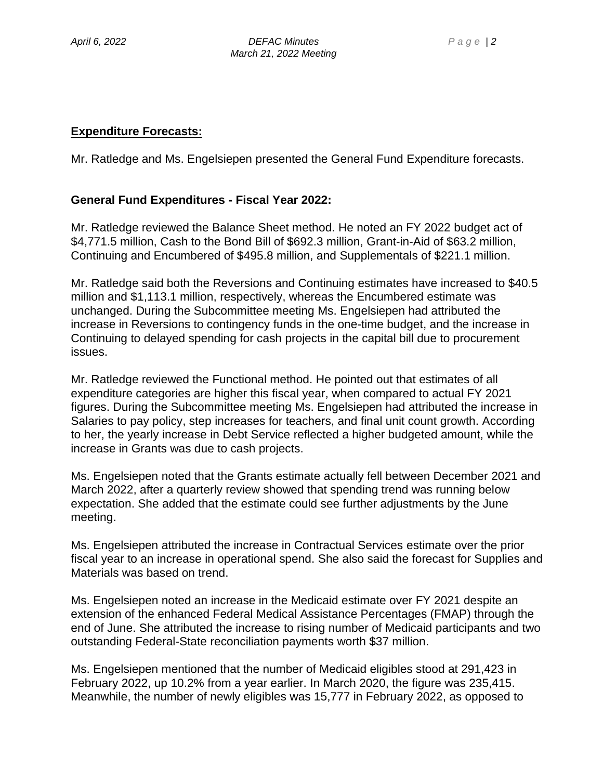#### **Expenditure Forecasts:**

Mr. Ratledge and Ms. Engelsiepen presented the General Fund Expenditure forecasts.

#### **General Fund Expenditures - Fiscal Year 2022:**

Mr. Ratledge reviewed the Balance Sheet method. He noted an FY 2022 budget act of \$4,771.5 million, Cash to the Bond Bill of \$692.3 million, Grant-in-Aid of \$63.2 million, Continuing and Encumbered of \$495.8 million, and Supplementals of \$221.1 million.

Mr. Ratledge said both the Reversions and Continuing estimates have increased to \$40.5 million and \$1,113.1 million, respectively, whereas the Encumbered estimate was unchanged. During the Subcommittee meeting Ms. Engelsiepen had attributed the increase in Reversions to contingency funds in the one-time budget, and the increase in Continuing to delayed spending for cash projects in the capital bill due to procurement issues.

Mr. Ratledge reviewed the Functional method. He pointed out that estimates of all expenditure categories are higher this fiscal year, when compared to actual FY 2021 figures. During the Subcommittee meeting Ms. Engelsiepen had attributed the increase in Salaries to pay policy, step increases for teachers, and final unit count growth. According to her, the yearly increase in Debt Service reflected a higher budgeted amount, while the increase in Grants was due to cash projects.

Ms. Engelsiepen noted that the Grants estimate actually fell between December 2021 and March 2022, after a quarterly review showed that spending trend was running below expectation. She added that the estimate could see further adjustments by the June meeting.

Ms. Engelsiepen attributed the increase in Contractual Services estimate over the prior fiscal year to an increase in operational spend. She also said the forecast for Supplies and Materials was based on trend.

Ms. Engelsiepen noted an increase in the Medicaid estimate over FY 2021 despite an extension of the enhanced Federal Medical Assistance Percentages (FMAP) through the end of June. She attributed the increase to rising number of Medicaid participants and two outstanding Federal-State reconciliation payments worth \$37 million.

Ms. Engelsiepen mentioned that the number of Medicaid eligibles stood at 291,423 in February 2022, up 10.2% from a year earlier. In March 2020, the figure was 235,415. Meanwhile, the number of newly eligibles was 15,777 in February 2022, as opposed to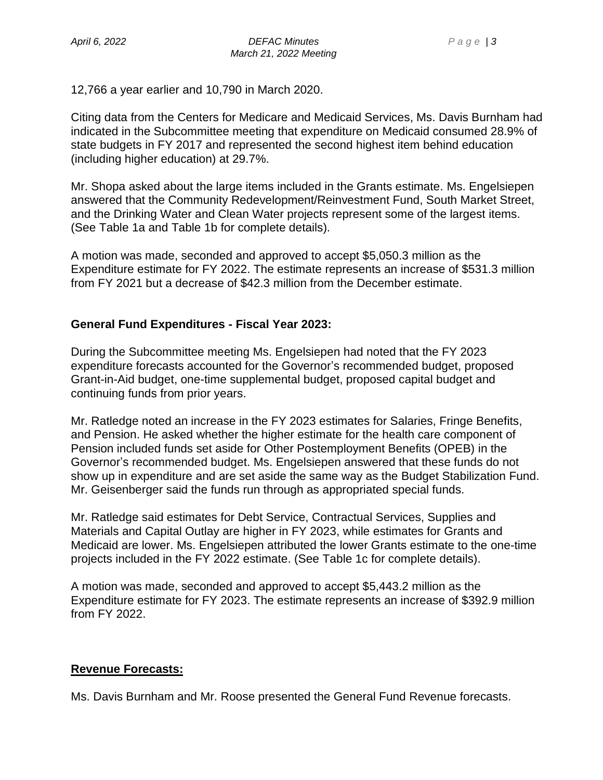12,766 a year earlier and 10,790 in March 2020.

Citing data from the Centers for Medicare and Medicaid Services, Ms. Davis Burnham had indicated in the Subcommittee meeting that expenditure on Medicaid consumed 28.9% of state budgets in FY 2017 and represented the second highest item behind education (including higher education) at 29.7%.

Mr. Shopa asked about the large items included in the Grants estimate. Ms. Engelsiepen answered that the Community Redevelopment/Reinvestment Fund, South Market Street, and the Drinking Water and Clean Water projects represent some of the largest items. (See Table 1a and Table 1b for complete details).

A motion was made, seconded and approved to accept \$5,050.3 million as the Expenditure estimate for FY 2022. The estimate represents an increase of \$531.3 million from FY 2021 but a decrease of \$42.3 million from the December estimate.

#### **General Fund Expenditures - Fiscal Year 2023:**

During the Subcommittee meeting Ms. Engelsiepen had noted that the FY 2023 expenditure forecasts accounted for the Governor's recommended budget, proposed Grant-in-Aid budget, one-time supplemental budget, proposed capital budget and continuing funds from prior years.

Mr. Ratledge noted an increase in the FY 2023 estimates for Salaries, Fringe Benefits, and Pension. He asked whether the higher estimate for the health care component of Pension included funds set aside for Other Postemployment Benefits (OPEB) in the Governor's recommended budget. Ms. Engelsiepen answered that these funds do not show up in expenditure and are set aside the same way as the Budget Stabilization Fund. Mr. Geisenberger said the funds run through as appropriated special funds.

Mr. Ratledge said estimates for Debt Service, Contractual Services, Supplies and Materials and Capital Outlay are higher in FY 2023, while estimates for Grants and Medicaid are lower. Ms. Engelsiepen attributed the lower Grants estimate to the one-time projects included in the FY 2022 estimate. (See Table 1c for complete details).

A motion was made, seconded and approved to accept \$5,443.2 million as the Expenditure estimate for FY 2023. The estimate represents an increase of \$392.9 million from FY 2022.

#### **Revenue Forecasts:**

Ms. Davis Burnham and Mr. Roose presented the General Fund Revenue forecasts.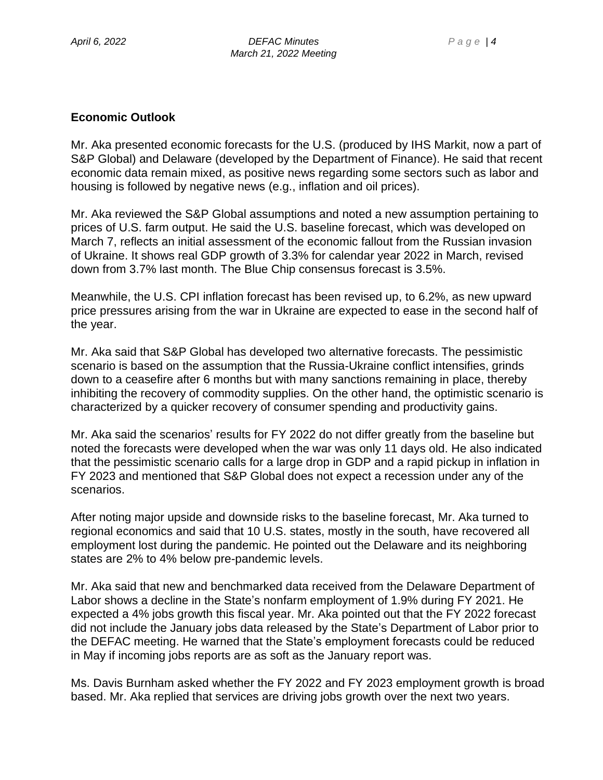#### **Economic Outlook**

Mr. Aka presented economic forecasts for the U.S. (produced by IHS Markit, now a part of S&P Global) and Delaware (developed by the Department of Finance). He said that recent economic data remain mixed, as positive news regarding some sectors such as labor and housing is followed by negative news (e.g., inflation and oil prices).

Mr. Aka reviewed the S&P Global assumptions and noted a new assumption pertaining to prices of U.S. farm output. He said the U.S. baseline forecast, which was developed on March 7, reflects an initial assessment of the economic fallout from the Russian invasion of Ukraine. It shows real GDP growth of 3.3% for calendar year 2022 in March, revised down from 3.7% last month. The Blue Chip consensus forecast is 3.5%.

Meanwhile, the U.S. CPI inflation forecast has been revised up, to 6.2%, as new upward price pressures arising from the war in Ukraine are expected to ease in the second half of the year.

Mr. Aka said that S&P Global has developed two alternative forecasts. The pessimistic scenario is based on the assumption that the Russia-Ukraine conflict intensifies, grinds down to a ceasefire after 6 months but with many sanctions remaining in place, thereby inhibiting the recovery of commodity supplies. On the other hand, the optimistic scenario is characterized by a quicker recovery of consumer spending and productivity gains.

Mr. Aka said the scenarios' results for FY 2022 do not differ greatly from the baseline but noted the forecasts were developed when the war was only 11 days old. He also indicated that the pessimistic scenario calls for a large drop in GDP and a rapid pickup in inflation in FY 2023 and mentioned that S&P Global does not expect a recession under any of the scenarios.

After noting major upside and downside risks to the baseline forecast, Mr. Aka turned to regional economics and said that 10 U.S. states, mostly in the south, have recovered all employment lost during the pandemic. He pointed out the Delaware and its neighboring states are 2% to 4% below pre-pandemic levels.

Mr. Aka said that new and benchmarked data received from the Delaware Department of Labor shows a decline in the State's nonfarm employment of 1.9% during FY 2021. He expected a 4% jobs growth this fiscal year. Mr. Aka pointed out that the FY 2022 forecast did not include the January jobs data released by the State's Department of Labor prior to the DEFAC meeting. He warned that the State's employment forecasts could be reduced in May if incoming jobs reports are as soft as the January report was.

Ms. Davis Burnham asked whether the FY 2022 and FY 2023 employment growth is broad based. Mr. Aka replied that services are driving jobs growth over the next two years.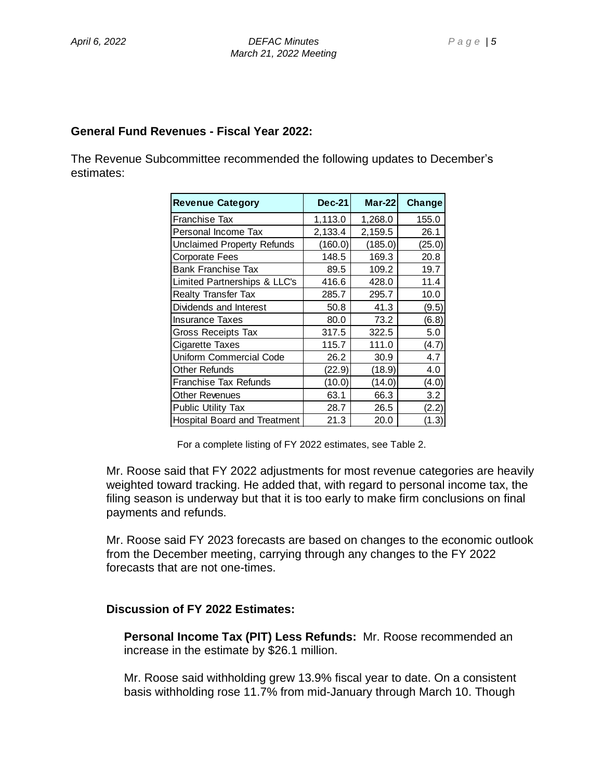#### **General Fund Revenues - Fiscal Year 2022:**

The Revenue Subcommittee recommended the following updates to December's estimates:

| <b>Revenue Category</b>             | $Dec-21$ | $Mar-22$ | Change |
|-------------------------------------|----------|----------|--------|
| Franchise Tax                       | 1,113.0  | 1,268.0  | 155.0  |
| Personal Income Tax                 | 2,133.4  | 2,159.5  | 26.1   |
| Unclaimed Property Refunds          | (160.0)  | (185.0)  | (25.0) |
| <b>Corporate Fees</b>               | 148.5    | 169.3    | 20.8   |
| <b>Bank Franchise Tax</b>           | 89.5     | 109.2    | 19.7   |
| Limited Partnerships & LLC's        | 416.6    | 428.0    | 11.4   |
| <b>Realty Transfer Tax</b>          | 285.7    | 295.7    | 10.0   |
| Dividends and Interest              | 50.8     | 41.3     | (9.5)  |
| <b>Insurance Taxes</b>              | 80.0     | 73.2     | (6.8)  |
| Gross Receipts Tax                  | 317.5    | 322.5    | 5.0    |
| Cigarette Taxes                     | 115.7    | 111.0    | (4.7)  |
| Uniform Commercial Code             | 26.2     | 30.9     | 4.7    |
| Other Refunds                       | (22.9)   | (18.9)   | 4.0    |
| <b>Franchise Tax Refunds</b>        | (10.0)   | (14.0)   | (4.0)  |
| <b>Other Revenues</b>               | 63.1     | 66.3     | 3.2    |
| <b>Public Utility Tax</b>           | 28.7     | 26.5     | (2.2)  |
| <b>Hospital Board and Treatment</b> | 21.3     | 20.0     | (1.3)  |

For a complete listing of FY 2022 estimates, see Table 2.

Mr. Roose said that FY 2022 adjustments for most revenue categories are heavily weighted toward tracking. He added that, with regard to personal income tax, the filing season is underway but that it is too early to make firm conclusions on final payments and refunds.

Mr. Roose said FY 2023 forecasts are based on changes to the economic outlook from the December meeting, carrying through any changes to the FY 2022 forecasts that are not one-times.

#### **Discussion of FY 2022 Estimates:**

**Personal Income Tax (PIT) Less Refunds:** Mr. Roose recommended an increase in the estimate by \$26.1 million.

Mr. Roose said withholding grew 13.9% fiscal year to date. On a consistent basis withholding rose 11.7% from mid-January through March 10. Though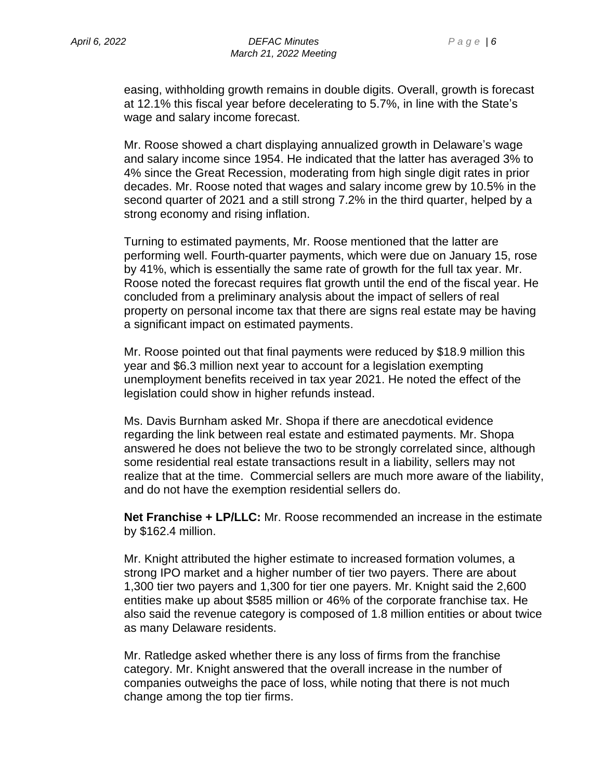easing, withholding growth remains in double digits. Overall, growth is forecast at 12.1% this fiscal year before decelerating to 5.7%, in line with the State's wage and salary income forecast.

Mr. Roose showed a chart displaying annualized growth in Delaware's wage and salary income since 1954. He indicated that the latter has averaged 3% to 4% since the Great Recession, moderating from high single digit rates in prior decades. Mr. Roose noted that wages and salary income grew by 10.5% in the second quarter of 2021 and a still strong 7.2% in the third quarter, helped by a strong economy and rising inflation.

Turning to estimated payments, Mr. Roose mentioned that the latter are performing well. Fourth-quarter payments, which were due on January 15, rose by 41%, which is essentially the same rate of growth for the full tax year. Mr. Roose noted the forecast requires flat growth until the end of the fiscal year. He concluded from a preliminary analysis about the impact of sellers of real property on personal income tax that there are signs real estate may be having a significant impact on estimated payments.

Mr. Roose pointed out that final payments were reduced by \$18.9 million this year and \$6.3 million next year to account for a legislation exempting unemployment benefits received in tax year 2021. He noted the effect of the legislation could show in higher refunds instead.

Ms. Davis Burnham asked Mr. Shopa if there are anecdotical evidence regarding the link between real estate and estimated payments. Mr. Shopa answered he does not believe the two to be strongly correlated since, although some residential real estate transactions result in a liability, sellers may not realize that at the time. Commercial sellers are much more aware of the liability, and do not have the exemption residential sellers do.

**Net Franchise + LP/LLC:** Mr. Roose recommended an increase in the estimate by \$162.4 million.

Mr. Knight attributed the higher estimate to increased formation volumes, a strong IPO market and a higher number of tier two payers. There are about 1,300 tier two payers and 1,300 for tier one payers. Mr. Knight said the 2,600 entities make up about \$585 million or 46% of the corporate franchise tax. He also said the revenue category is composed of 1.8 million entities or about twice as many Delaware residents.

Mr. Ratledge asked whether there is any loss of firms from the franchise category. Mr. Knight answered that the overall increase in the number of companies outweighs the pace of loss, while noting that there is not much change among the top tier firms.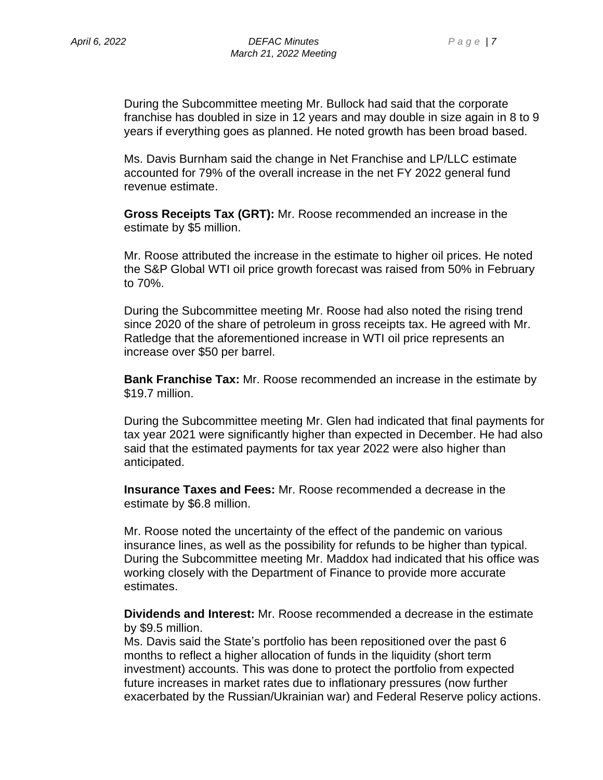During the Subcommittee meeting Mr. Bullock had said that the corporate franchise has doubled in size in 12 years and may double in size again in 8 to 9 years if everything goes as planned. He noted growth has been broad based.

Ms. Davis Burnham said the change in Net Franchise and LP/LLC estimate accounted for 79% of the overall increase in the net FY 2022 general fund revenue estimate.

**Gross Receipts Tax (GRT):** Mr. Roose recommended an increase in the estimate by \$5 million.

Mr. Roose attributed the increase in the estimate to higher oil prices. He noted the S&P Global WTI oil price growth forecast was raised from 50% in February to 70%.

During the Subcommittee meeting Mr. Roose had also noted the rising trend since 2020 of the share of petroleum in gross receipts tax. He agreed with Mr. Ratledge that the aforementioned increase in WTI oil price represents an increase over \$50 per barrel.

**Bank Franchise Tax:** Mr. Roose recommended an increase in the estimate by \$19.7 million.

During the Subcommittee meeting Mr. Glen had indicated that final payments for tax year 2021 were significantly higher than expected in December. He had also said that the estimated payments for tax year 2022 were also higher than anticipated.

**Insurance Taxes and Fees:** Mr. Roose recommended a decrease in the estimate by \$6.8 million.

Mr. Roose noted the uncertainty of the effect of the pandemic on various insurance lines, as well as the possibility for refunds to be higher than typical. During the Subcommittee meeting Mr. Maddox had indicated that his office was working closely with the Department of Finance to provide more accurate estimates.

**Dividends and Interest:** Mr. Roose recommended a decrease in the estimate by \$9.5 million.

Ms. Davis said the State's portfolio has been repositioned over the past 6 months to reflect a higher allocation of funds in the liquidity (short term investment) accounts. This was done to protect the portfolio from expected future increases in market rates due to inflationary pressures (now further exacerbated by the Russian/Ukrainian war) and Federal Reserve policy actions.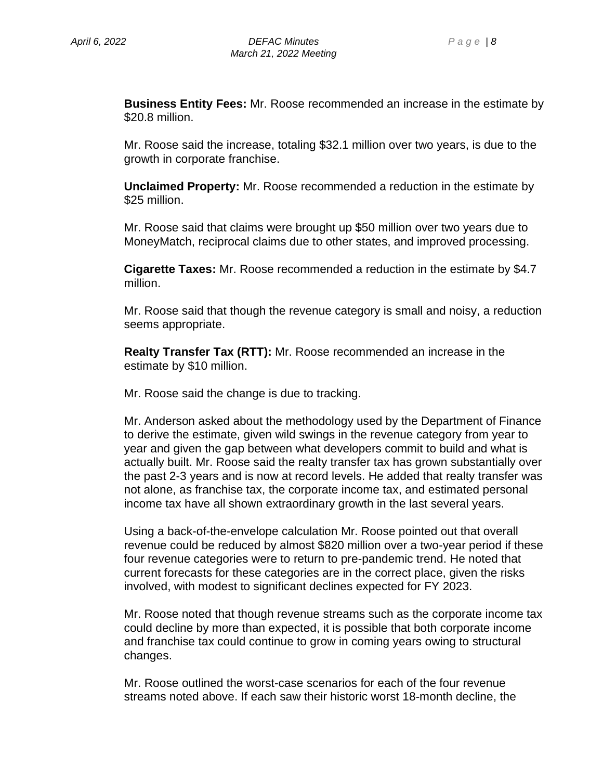**Business Entity Fees:** Mr. Roose recommended an increase in the estimate by \$20.8 million.

Mr. Roose said the increase, totaling \$32.1 million over two years, is due to the growth in corporate franchise.

**Unclaimed Property:** Mr. Roose recommended a reduction in the estimate by \$25 million.

Mr. Roose said that claims were brought up \$50 million over two years due to MoneyMatch, reciprocal claims due to other states, and improved processing.

**Cigarette Taxes:** Mr. Roose recommended a reduction in the estimate by \$4.7 million.

Mr. Roose said that though the revenue category is small and noisy, a reduction seems appropriate.

**Realty Transfer Tax (RTT):** Mr. Roose recommended an increase in the estimate by \$10 million.

Mr. Roose said the change is due to tracking.

Mr. Anderson asked about the methodology used by the Department of Finance to derive the estimate, given wild swings in the revenue category from year to year and given the gap between what developers commit to build and what is actually built. Mr. Roose said the realty transfer tax has grown substantially over the past 2-3 years and is now at record levels. He added that realty transfer was not alone, as franchise tax, the corporate income tax, and estimated personal income tax have all shown extraordinary growth in the last several years.

Using a back-of-the-envelope calculation Mr. Roose pointed out that overall revenue could be reduced by almost \$820 million over a two-year period if these four revenue categories were to return to pre-pandemic trend. He noted that current forecasts for these categories are in the correct place, given the risks involved, with modest to significant declines expected for FY 2023.

Mr. Roose noted that though revenue streams such as the corporate income tax could decline by more than expected, it is possible that both corporate income and franchise tax could continue to grow in coming years owing to structural changes.

Mr. Roose outlined the worst-case scenarios for each of the four revenue streams noted above. If each saw their historic worst 18-month decline, the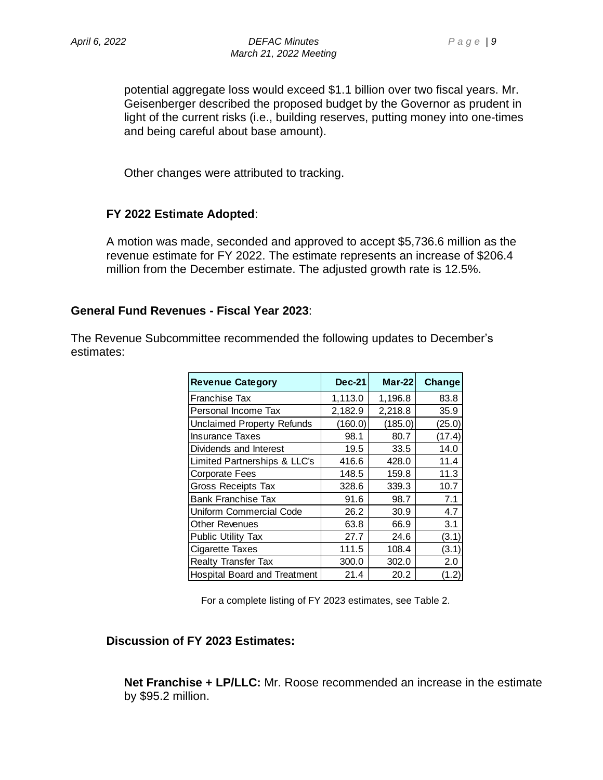potential aggregate loss would exceed \$1.1 billion over two fiscal years. Mr. Geisenberger described the proposed budget by the Governor as prudent in light of the current risks (i.e., building reserves, putting money into one-times and being careful about base amount).

Other changes were attributed to tracking.

#### **FY 2022 Estimate Adopted**:

A motion was made, seconded and approved to accept \$5,736.6 million as the revenue estimate for FY 2022. The estimate represents an increase of \$206.4 million from the December estimate. The adjusted growth rate is 12.5%.

#### **General Fund Revenues - Fiscal Year 2023**:

The Revenue Subcommittee recommended the following updates to December's estimates:

| <b>Revenue Category</b>             | <b>Dec-21</b> | $Mar-22$ | Change |
|-------------------------------------|---------------|----------|--------|
| Franchise Tax                       | 1,113.0       | 1,196.8  | 83.8   |
| Personal Income Tax                 | 2,182.9       | 2,218.8  | 35.9   |
| <b>Unclaimed Property Refunds</b>   | (160.0)       | (185.0)  | (25.0) |
| <b>Insurance Taxes</b>              | 98.1          | 80.7     | (17.4) |
| Dividends and Interest              | 19.5          | 33.5     | 14.0   |
| Limited Partnerships & LLC's        | 416.6         | 428.0    | 11.4   |
| <b>Corporate Fees</b>               | 148.5         | 159.8    | 11.3   |
| <b>Gross Receipts Tax</b>           | 328.6         | 339.3    | 10.7   |
| <b>Bank Franchise Tax</b>           | 91.6          | 98.7     | 7.1    |
| Uniform Commercial Code             | 26.2          | 30.9     | 4.7    |
| Other Revenues                      | 63.8          | 66.9     | 3.1    |
| <b>Public Utility Tax</b>           | 27.7          | 24.6     | (3.1)  |
| Cigarette Taxes                     | 111.5         | 108.4    | (3.1)  |
| <b>Realty Transfer Tax</b>          | 300.0         | 302.0    | 2.0    |
| <b>Hospital Board and Treatment</b> | 21.4          | 20.2     | (1.2)  |

For a complete listing of FY 2023 estimates, see Table 2.

#### **Discussion of FY 2023 Estimates:**

**Net Franchise + LP/LLC:** Mr. Roose recommended an increase in the estimate by \$95.2 million.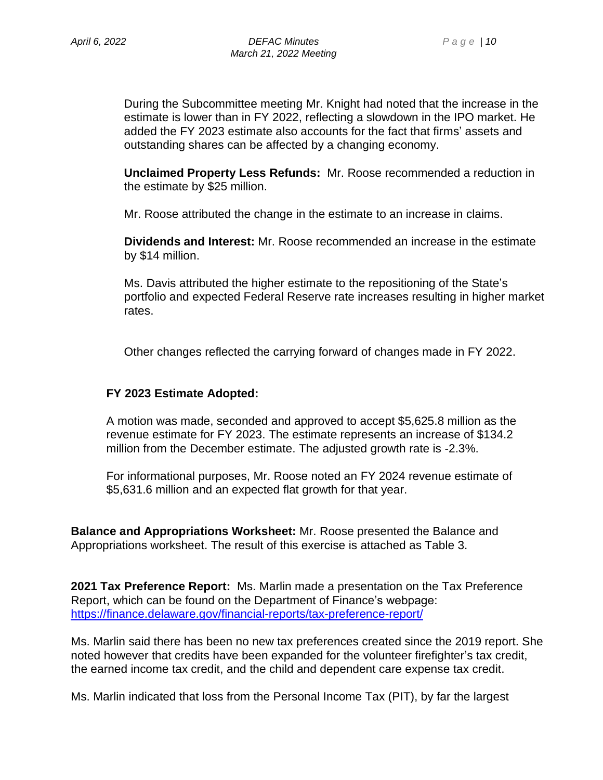During the Subcommittee meeting Mr. Knight had noted that the increase in the estimate is lower than in FY 2022, reflecting a slowdown in the IPO market. He added the FY 2023 estimate also accounts for the fact that firms' assets and outstanding shares can be affected by a changing economy.

**Unclaimed Property Less Refunds:** Mr. Roose recommended a reduction in the estimate by \$25 million.

Mr. Roose attributed the change in the estimate to an increase in claims.

**Dividends and Interest:** Mr. Roose recommended an increase in the estimate by \$14 million.

Ms. Davis attributed the higher estimate to the repositioning of the State's portfolio and expected Federal Reserve rate increases resulting in higher market rates.

Other changes reflected the carrying forward of changes made in FY 2022.

#### **FY 2023 Estimate Adopted:**

A motion was made, seconded and approved to accept \$5,625.8 million as the revenue estimate for FY 2023. The estimate represents an increase of \$134.2 million from the December estimate. The adjusted growth rate is -2.3%.

For informational purposes, Mr. Roose noted an FY 2024 revenue estimate of \$5,631.6 million and an expected flat growth for that year.

**Balance and Appropriations Worksheet:** Mr. Roose presented the Balance and Appropriations worksheet. The result of this exercise is attached as Table 3.

**2021 Tax Preference Report:** Ms. Marlin made a presentation on the Tax Preference Report, which can be found on the Department of Finance's webpage: <https://finance.delaware.gov/financial-reports/tax-preference-report/>

Ms. Marlin said there has been no new tax preferences created since the 2019 report. She noted however that credits have been expanded for the volunteer firefighter's tax credit, the earned income tax credit, and the child and dependent care expense tax credit.

Ms. Marlin indicated that loss from the Personal Income Tax (PIT), by far the largest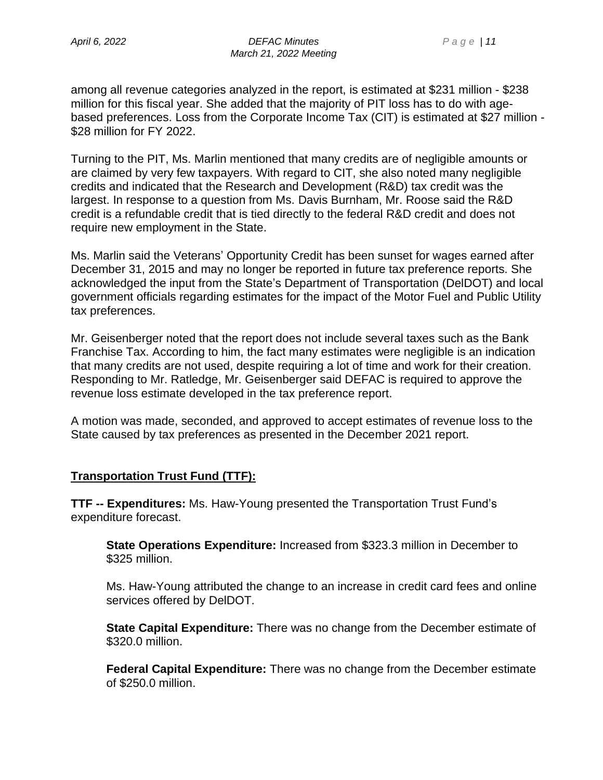among all revenue categories analyzed in the report, is estimated at \$231 million - \$238 million for this fiscal year. She added that the majority of PIT loss has to do with agebased preferences. Loss from the Corporate Income Tax (CIT) is estimated at \$27 million - \$28 million for FY 2022.

Turning to the PIT, Ms. Marlin mentioned that many credits are of negligible amounts or are claimed by very few taxpayers. With regard to CIT, she also noted many negligible credits and indicated that the Research and Development (R&D) tax credit was the largest. In response to a question from Ms. Davis Burnham, Mr. Roose said the R&D credit is a refundable credit that is tied directly to the federal R&D credit and does not require new employment in the State.

Ms. Marlin said the Veterans' Opportunity Credit has been sunset for wages earned after December 31, 2015 and may no longer be reported in future tax preference reports. She acknowledged the input from the State's Department of Transportation (DelDOT) and local government officials regarding estimates for the impact of the Motor Fuel and Public Utility tax preferences.

Mr. Geisenberger noted that the report does not include several taxes such as the Bank Franchise Tax. According to him, the fact many estimates were negligible is an indication that many credits are not used, despite requiring a lot of time and work for their creation. Responding to Mr. Ratledge, Mr. Geisenberger said DEFAC is required to approve the revenue loss estimate developed in the tax preference report.

A motion was made, seconded, and approved to accept estimates of revenue loss to the State caused by tax preferences as presented in the December 2021 report.

#### **Transportation Trust Fund (TTF):**

**TTF -- Expenditures:** Ms. Haw-Young presented the Transportation Trust Fund's expenditure forecast.

**State Operations Expenditure:** Increased from \$323.3 million in December to \$325 million.

Ms. Haw-Young attributed the change to an increase in credit card fees and online services offered by DelDOT.

**State Capital Expenditure:** There was no change from the December estimate of \$320.0 million.

**Federal Capital Expenditure:** There was no change from the December estimate of \$250.0 million.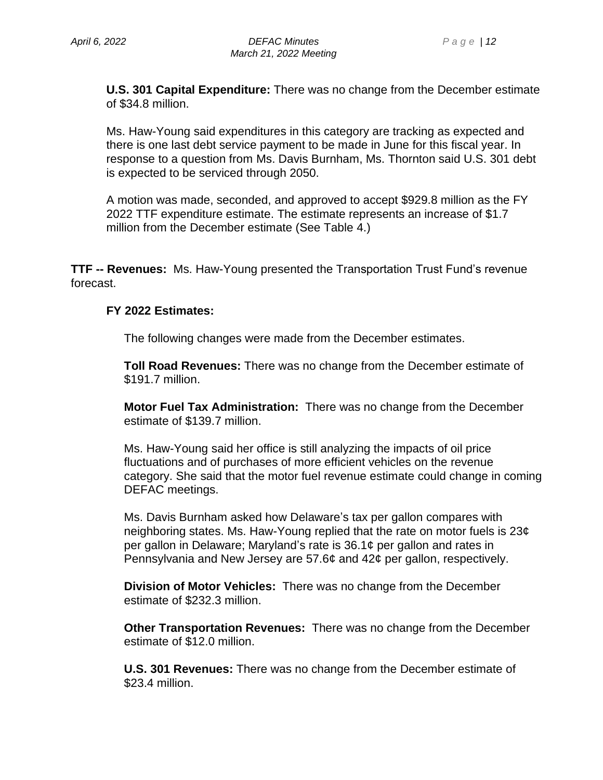**U.S. 301 Capital Expenditure:** There was no change from the December estimate of \$34.8 million.

Ms. Haw-Young said expenditures in this category are tracking as expected and there is one last debt service payment to be made in June for this fiscal year. In response to a question from Ms. Davis Burnham, Ms. Thornton said U.S. 301 debt is expected to be serviced through 2050.

A motion was made, seconded, and approved to accept \$929.8 million as the FY 2022 TTF expenditure estimate. The estimate represents an increase of \$1.7 million from the December estimate (See Table 4.)

**TTF -- Revenues:** Ms. Haw-Young presented the Transportation Trust Fund's revenue forecast.

#### **FY 2022 Estimates:**

The following changes were made from the December estimates.

**Toll Road Revenues:** There was no change from the December estimate of \$191.7 million.

**Motor Fuel Tax Administration:** There was no change from the December estimate of \$139.7 million.

Ms. Haw-Young said her office is still analyzing the impacts of oil price fluctuations and of purchases of more efficient vehicles on the revenue category. She said that the motor fuel revenue estimate could change in coming DEFAC meetings.

Ms. Davis Burnham asked how Delaware's tax per gallon compares with neighboring states. Ms. Haw-Young replied that the rate on motor fuels is 23¢ per gallon in Delaware; Maryland's rate is 36.1¢ per gallon and rates in Pennsylvania and New Jersey are 57.6¢ and 42¢ per gallon, respectively.

**Division of Motor Vehicles:** There was no change from the December estimate of \$232.3 million.

**Other Transportation Revenues:** There was no change from the December estimate of \$12.0 million.

**U.S. 301 Revenues:** There was no change from the December estimate of \$23.4 million.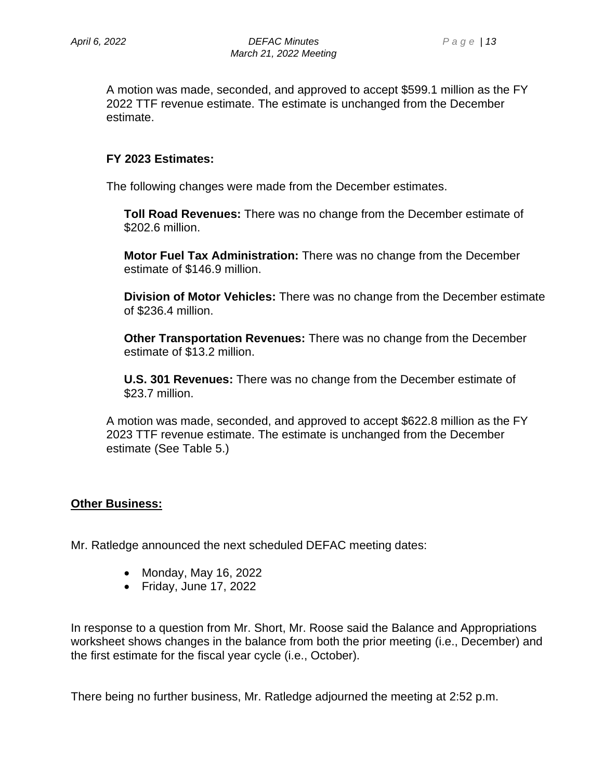A motion was made, seconded, and approved to accept \$599.1 million as the FY 2022 TTF revenue estimate. The estimate is unchanged from the December estimate.

### **FY 2023 Estimates:**

The following changes were made from the December estimates.

**Toll Road Revenues:** There was no change from the December estimate of \$202.6 million.

**Motor Fuel Tax Administration:** There was no change from the December estimate of \$146.9 million.

**Division of Motor Vehicles:** There was no change from the December estimate of \$236.4 million.

**Other Transportation Revenues:** There was no change from the December estimate of \$13.2 million.

**U.S. 301 Revenues:** There was no change from the December estimate of \$23.7 million.

A motion was made, seconded, and approved to accept \$622.8 million as the FY 2023 TTF revenue estimate. The estimate is unchanged from the December estimate (See Table 5.)

#### **Other Business:**

Mr. Ratledge announced the next scheduled DEFAC meeting dates:

- Monday, May 16, 2022
- Friday, June 17, 2022

In response to a question from Mr. Short, Mr. Roose said the Balance and Appropriations worksheet shows changes in the balance from both the prior meeting (i.e., December) and the first estimate for the fiscal year cycle (i.e., October).

There being no further business, Mr. Ratledge adjourned the meeting at 2:52 p.m.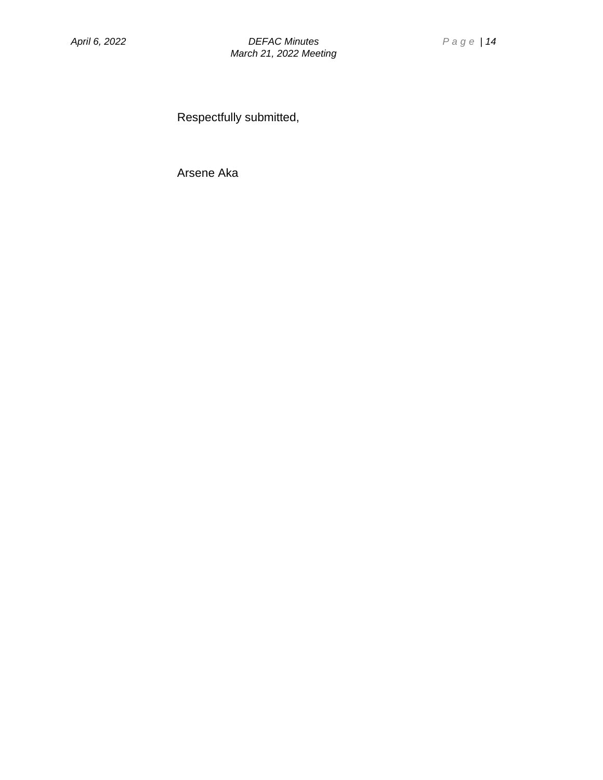Respectfully submitted,

Arsene Aka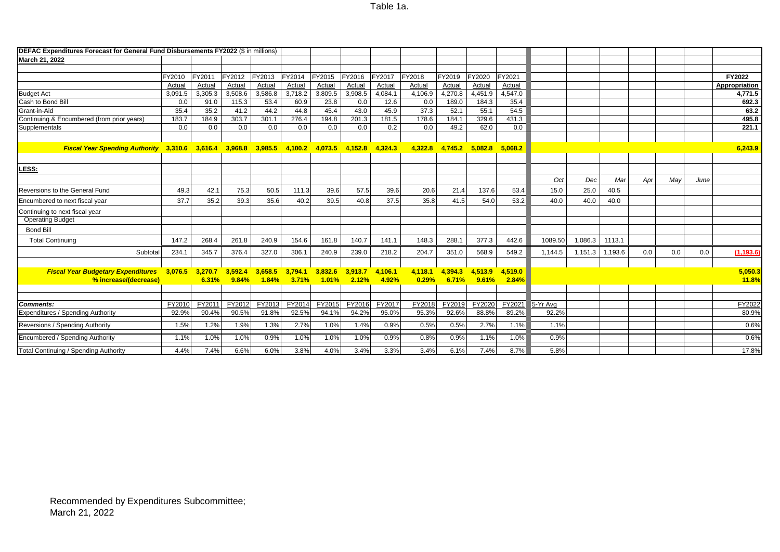#### **DEFAC Expenditures Forecast for General Fund Disbursements FY2022** (\$ in millions) **March 21, 2022** FY2010 FY2011 FY2012 FY2013 FY2014 FY2015 FY2016 FY2017 FY2018 FY2019 FY2020 FY2021 **FY2022** Actual Actual Actual Actual Actual Actual Actual Actual Actual Actual Actual Actual **Appropriation** Budget Act 3,091.5 3,305.3 3,508.6 3,586.8 3,718.2 3,809.5 3,908.5 4,084.1 4,106.9 4,270.8 4,451.9 4,547.0 **4,771.5** Cash to Bond Bill 0.0 91.0 115.3 53.4 60.9 23.8 0.0 12.6 0.0 189.0 184.3 35.4 **692.3** Grant-in-Aid 35.4 35.2 41.2 44.2 44.8 45.4 43.0 45.9 37.3 52.1 55.1 54.5 **63.2** Continuing & Encumbered (from prior years) 183.7 184.9 303.7 301.1 276.4 194.8 201.3 181.5 178.6 184.1 329.6 431.3 **495.8** Supplementals | 0.0 | 0.0 | 0.0 | 0.0 | 0.0 | 0.2 | 0.0 | 49.2 | 62.0 | 0.0 | | | **221.1** Fiscal Year Spending Authority 3,310.6 3,616.4 3,968.8 3,985.5 4,100.2 4,073.5 4,152.8 4,324.3 4,322.8 4,745.2 5,082.8 5,068.2 5,068.2 **LESS:** *Oct Dec Mar Apr May June* Reversions to the General Fund | 49.3 | 42.1 | 75.3 | 50.5 | 11.3 | 39.6 | 57.5 | 39.6 | 20.6 | 21.4 | 137.6 | 53.4 | 15.0 | 25.0 | 40.5 Encumbered to next fiscal year | 37.7 | 35.2 | 39.3 | 35.6 | 40.2 | 39.5 | 40.8 | 37.5 | 35.8 | 41.5 | 54.0 | 53.2 | 40.0 | 40.0 | 40.0 | 40.0 Continuing to next fiscal year Operating Budget Bond Bill Total Continuing 147.2 268.4 261.8 240.9 154.6 161.8 140.7 141.1 148.3 288.1 377.3 442.6 1089.50 1,086.3 1113.1 Subtotal| 234.1 | 345.7 | 376.4 | 327.0 | 306.1 | 240.9 | 239.0 | 218.2 | 204.7 | 351.0 | 568.9 | 549.2 | 1,144.5 | 1,151.3 | 1,193.6 | 0.0 | 0.0 | 0.0 | 0.0 | 1<mark>,193.6)</mark> *Fiscal Year Budgetary Expenditures* **3,076.5 3,270.7 3,592.4 3,658.5 3,794.1 3,832.6 3,913.7 4,106.1 4,118.1 4,394.3 4,513.9 4,519.0 5,050.3 % increase/(decrease) 6.31% 9.84% 1.84% 3.71% 1.01% 2.12% 4.92% 0.29% 6.71% 9.61% 2.84% 11.8% Comments:** | <u>FY2010| FY2011| FY2012| FY2013| FY2014|</u> F<u>Y2015| FY2016| FY2017| FY2018| FY2019| FY2020| FY2021</u> 5-Yr Avg | | | | <u>FY2022</u> Expenditures / Spending Authority 92.9% 90.4% 90.5% 91.8% 92.5% 94.1% 94.2% 95.0% 95.3% 92.6% 88.8% 89.2% 92.2% 80.9% Reversions / Spending Authority 1.5% 1.2% 1.9% 1.3% 2.7% 1.0% 1.4% 0.9% 0.5% 0.5% 2.7% 1.1% 1.1% 0.6% Encumbered / Spending Authority 1.1% 1.0% 1.0% 0.9% 1.0% 1.0% 1.0% 0.9% 0.8% 0.9% 1.1% 1.0% 0.9% 0.6% Total Continuing / Spending Authority 4.4% 7.4% 6.6% 6.0% 3.8% 4.0% 3.4% 3.3% 3.4% 6.1% 7.4% 8.7% 5.8% 17.8%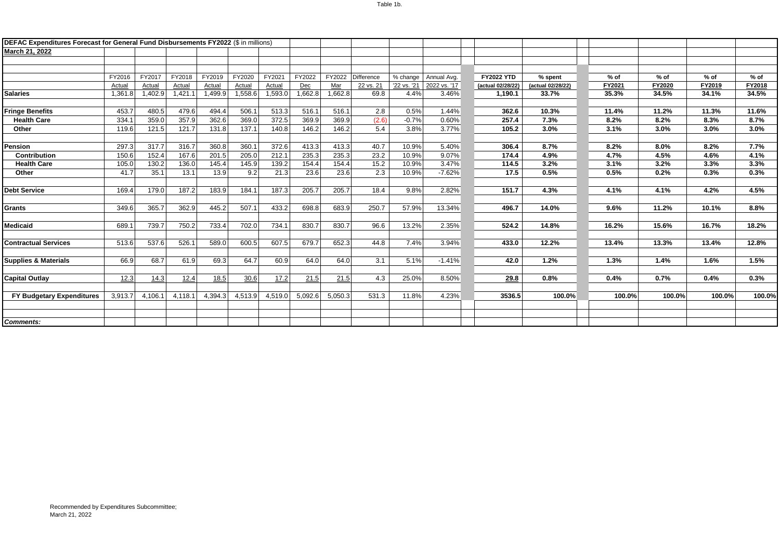| DEFAC Expenditures Forecast for General Fund Disbursements FY2022 (\$ in millions) |         |         |         |         |         |         |         |         |            |             |              |                   |                   |        |        |        |        |
|------------------------------------------------------------------------------------|---------|---------|---------|---------|---------|---------|---------|---------|------------|-------------|--------------|-------------------|-------------------|--------|--------|--------|--------|
| March 21, 2022                                                                     |         |         |         |         |         |         |         |         |            |             |              |                   |                   |        |        |        |        |
|                                                                                    |         |         |         |         |         |         |         |         |            |             |              |                   |                   |        |        |        |        |
|                                                                                    |         |         |         |         |         |         |         |         |            |             |              |                   |                   |        |        |        |        |
|                                                                                    | FY2016  | FY2017  | FY2018  | FY2019  | FY2020  | FY2021  | FY2022  | FY2022  | Difference | % change    | Annual Avg.  | <b>FY2022 YTD</b> | % spent           | $%$ of | $%$ of | $%$ of | % of   |
|                                                                                    | Actual  | Actual  | Actual  | Actual  | Actual  | Actual  | Dec     | Mar     | 22 vs. 21  | '22 vs. '21 | 2022 vs. '17 | (actual 02/28/22) | (actual 02/28/22) | FY2021 | FY2020 | FY2019 | FY2018 |
| <b>Salaries</b>                                                                    | 1,361.8 | 1,402.9 | 1,421.1 | 1,499.9 | 1,558.6 | 1,593.0 | 1,662.8 | 1,662.8 | 69.8       | 4.4%        | 3.46%        | 1.190.1           | 33.7%             | 35.3%  | 34.5%  | 34.1%  | 34.5%  |
|                                                                                    |         |         |         |         |         |         |         |         |            |             |              |                   |                   |        |        |        |        |
| <b>Fringe Benefits</b>                                                             | 453.7   | 480.5   | 479.6   | 494.4   | 506.1   | 513.3   | 516.1   | 516.1   | 2.8        | 0.5%        | 1.44%        | 362.6             | 10.3%             | 11.4%  | 11.2%  | 11.3%  | 11.6%  |
| <b>Health Care</b>                                                                 | 334.1   | 359.0   | 357.9   | 362.6   | 369.0   | 372.5   | 369.9   | 369.9   | (2.6)      | $-0.7%$     | 0.60%        | 257.4             | 7.3%              | 8.2%   | 8.2%   | 8.3%   | 8.7%   |
| Other                                                                              | 119.6   | 121.5   | 121.7   | 131.8   | 137.1   | 140.8   | 146.2   | 146.2   | 5.4        | 3.8%        | 3.77%        | 105.2             | 3.0%              | 3.1%   | 3.0%   | 3.0%   | 3.0%   |
|                                                                                    |         |         |         |         |         |         |         |         |            |             |              |                   |                   |        |        |        |        |
| <b>Pension</b>                                                                     | 297.3   | 317.7   | 316.7   | 360.8   | 360.1   | 372.6   | 413.3   | 413.3   | 40.7       | 10.9%       | 5.40%        | 306.4             | 8.7%              | 8.2%   | 8.0%   | 8.2%   | 7.7%   |
| Contribution                                                                       | 150.6   | 152.4   | 167.6   | 201.5   | 205.0   | 212.1   | 235.3   | 235.3   | 23.2       | 10.9%       | 9.07%        | 174.4             | 4.9%              | 4.7%   | 4.5%   | 4.6%   | 4.1%   |
| <b>Health Care</b>                                                                 | 105.0   | 130.2   | 136.0   | 145.4   | 145.9   | 139.2   | 154.4   | 154.4   | 15.2       | 10.9%       | 3.47%        | 114.5             | 3.2%              | 3.1%   | 3.2%   | 3.3%   | 3.3%   |
| Other                                                                              | 41.7    | 35.1    | 13.1    | 13.9    | 9.2     | 21.3    | 23.6    | 23.6    | 2.3        | 10.9%       | $-7.62%$     | 17.5              | 0.5%              | 0.5%   | 0.2%   | 0.3%   | 0.3%   |
|                                                                                    |         |         |         |         |         |         |         |         |            |             |              |                   |                   |        |        |        |        |
| <b>Debt Service</b>                                                                | 169.4   | 179.0   | 187.2   | 183.9   | 184.1   | 187.3   | 205.7   | 205.7   | 18.4       | 9.8%        | 2.82%        | 151.7             | 4.3%              | 4.1%   | 4.1%   | 4.2%   | 4.5%   |
|                                                                                    |         |         |         |         |         |         |         |         |            |             |              |                   |                   |        |        |        |        |
| <b>Grants</b>                                                                      | 349.6   | 365.7   | 362.9   | 445.2   | 507.1   | 433.2   | 698.8   | 683.9   | 250.7      | 57.9%       | 13.34%       | 496.7             | 14.0%             | 9.6%   | 11.2%  | 10.1%  | 8.8%   |
|                                                                                    |         |         |         |         |         |         |         |         |            |             |              |                   |                   |        |        |        |        |
| <b>Medicaid</b>                                                                    | 689.1   | 739.7   | 750.2   | 733.4   | 702.0   | 734.1   | 830.7   | 830.7   | 96.6       | 13.2%       | 2.35%        | 524.2             | 14.8%             | 16.2%  | 15.6%  | 16.7%  | 18.2%  |
|                                                                                    |         |         |         |         |         |         |         |         |            |             |              |                   |                   |        |        |        |        |
| <b>Contractual Services</b>                                                        | 513.6   | 537.6   | 526.1   | 589.0   | 600.5   | 607.5   | 679.7   | 652.3   | 44.8       | 7.4%        | 3.94%        | 433.0             | 12.2%             | 13.4%  | 13.3%  | 13.4%  | 12.8%  |
|                                                                                    |         |         |         |         |         |         |         |         |            |             |              |                   |                   |        |        |        |        |
| <b>Supplies &amp; Materials</b>                                                    | 66.9    | 68.7    | 61.9    | 69.3    | 64.7    | 60.9    | 64.0    | 64.0    | 3.1        | 5.1%        | $-1.41%$     | 42.0              | 1.2%              | 1.3%   | 1.4%   | 1.6%   | 1.5%   |
|                                                                                    |         |         |         |         |         |         |         |         |            |             |              |                   |                   |        |        |        |        |
| <b>Capital Outlay</b>                                                              |         |         |         |         |         |         |         |         | 4.3        | 25.0%       | 8.50%        | 29.8              | 0.8%              | 0.4%   | 0.7%   | 0.4%   | 0.3%   |
|                                                                                    | 12.3    | 14.3    | 12.4    | 18.5    | 30.6    | 17.2    | 21.5    | 21.5    |            |             |              |                   |                   |        |        |        |        |
|                                                                                    |         |         |         |         |         |         |         |         |            |             |              |                   |                   |        |        |        |        |
| <b>FY Budgetary Expenditures</b>                                                   | 3.913.7 | 4,106.1 | 4,118.1 | 4,394.3 | 4,513.9 | 4,519.0 | 5,092.6 | 5,050.3 | 531.3      | 11.8%       | 4.23%        | 3536.5            | 100.0%            | 100.0% | 100.0% | 100.0% | 100.0% |
|                                                                                    |         |         |         |         |         |         |         |         |            |             |              |                   |                   |        |        |        |        |
|                                                                                    |         |         |         |         |         |         |         |         |            |             |              |                   |                   |        |        |        |        |
| <b>Comments:</b>                                                                   |         |         |         |         |         |         |         |         |            |             |              |                   |                   |        |        |        |        |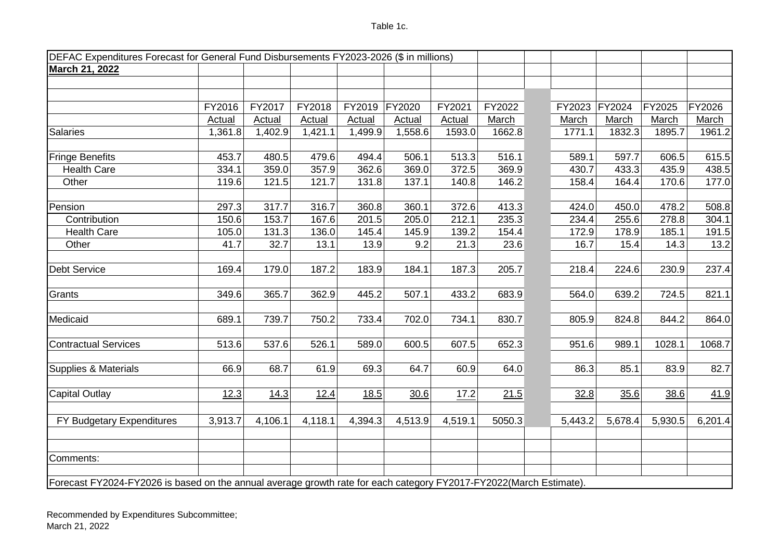|                                                                                                                    | DEFAC Expenditures Forecast for General Fund Disbursements FY2023-2026 (\$ in millions) |               |               |               |               |         |        |         |         |         |         |
|--------------------------------------------------------------------------------------------------------------------|-----------------------------------------------------------------------------------------|---------------|---------------|---------------|---------------|---------|--------|---------|---------|---------|---------|
| March 21, 2022                                                                                                     |                                                                                         |               |               |               |               |         |        |         |         |         |         |
|                                                                                                                    |                                                                                         |               |               |               |               |         |        |         |         |         |         |
|                                                                                                                    |                                                                                         |               |               |               |               |         |        |         |         |         |         |
|                                                                                                                    | FY2016                                                                                  | FY2017        | FY2018        | FY2019        | FY2020        | FY2021  | FY2022 | FY2023  | FY2024  | FY2025  | FY2026  |
|                                                                                                                    | <b>Actual</b>                                                                           | <b>Actual</b> | <b>Actual</b> | <b>Actual</b> | <b>Actual</b> | Actual  | March  | March   | March   | March   | March   |
| <b>Salaries</b>                                                                                                    | 1,361.8                                                                                 | 1,402.9       | 1,421.1       | 1,499.9       | 1,558.6       | 1593.0  | 1662.8 | 1771.1  | 1832.3  | 1895.7  | 1961.2  |
| <b>Fringe Benefits</b>                                                                                             | 453.7                                                                                   | 480.5         | 479.6         | 494.4         | 506.1         | 513.3   | 516.1  | 589.1   | 597.7   | 606.5   | 615.5   |
| <b>Health Care</b>                                                                                                 | 334.1                                                                                   | 359.0         | 357.9         | 362.6         | 369.0         | 372.5   | 369.9  | 430.7   | 433.3   | 435.9   | 438.5   |
| Other                                                                                                              | 119.6                                                                                   | 121.5         | 121.7         | 131.8         | 137.1         | 140.8   | 146.2  | 158.4   | 164.4   | 170.6   | 177.0   |
| Pension                                                                                                            | 297.3                                                                                   | 317.7         | 316.7         | 360.8         | 360.1         | 372.6   | 413.3  | 424.0   | 450.0   | 478.2   | 508.8   |
| Contribution                                                                                                       | 150.6                                                                                   | 153.7         | 167.6         | 201.5         | 205.0         | 212.1   | 235.3  | 234.4   | 255.6   | 278.8   | 304.1   |
| <b>Health Care</b>                                                                                                 | 105.0                                                                                   | 131.3         | 136.0         | 145.4         | 145.9         | 139.2   | 154.4  | 172.9   | 178.9   | 185.1   | 191.5   |
| Other                                                                                                              | 41.7                                                                                    | 32.7          | 13.1          | 13.9          | 9.2           | 21.3    | 23.6   | 16.7    | 15.4    | 14.3    | 13.2    |
|                                                                                                                    |                                                                                         |               |               |               |               |         |        |         |         |         |         |
| <b>Debt Service</b>                                                                                                | 169.4                                                                                   | 179.0         | 187.2         | 183.9         | 184.1         | 187.3   | 205.7  | 218.4   | 224.6   | 230.9   | 237.4   |
| Grants                                                                                                             | 349.6                                                                                   | 365.7         | 362.9         | 445.2         | 507.1         | 433.2   | 683.9  | 564.0   | 639.2   | 724.5   | 821.1   |
| Medicaid                                                                                                           | 689.1                                                                                   | 739.7         | 750.2         | 733.4         | 702.0         | 734.1   | 830.7  | 805.9   | 824.8   | 844.2   | 864.0   |
| <b>Contractual Services</b>                                                                                        | 513.6                                                                                   | 537.6         | 526.1         | 589.0         | 600.5         | 607.5   | 652.3  | 951.6   | 989.1   | 1028.1  | 1068.7  |
| Supplies & Materials                                                                                               | 66.9                                                                                    | 68.7          | 61.9          | 69.3          | 64.7          | 60.9    | 64.0   | 86.3    | 85.1    | 83.9    | 82.7    |
| <b>Capital Outlay</b>                                                                                              | 12.3                                                                                    | 14.3          | 12.4          | 18.5          | 30.6          | 17.2    | 21.5   | 32.8    | 35.6    | 38.6    | 41.9    |
| FY Budgetary Expenditures                                                                                          | 3,913.7                                                                                 | 4,106.1       | 4,118.1       | 4,394.3       | 4,513.9       | 4,519.1 | 5050.3 | 5,443.2 | 5,678.4 | 5,930.5 | 6,201.4 |
| Comments:                                                                                                          |                                                                                         |               |               |               |               |         |        |         |         |         |         |
| Forecast FY2024-FY2026 is based on the annual average growth rate for each category FY2017-FY2022(March Estimate). |                                                                                         |               |               |               |               |         |        |         |         |         |         |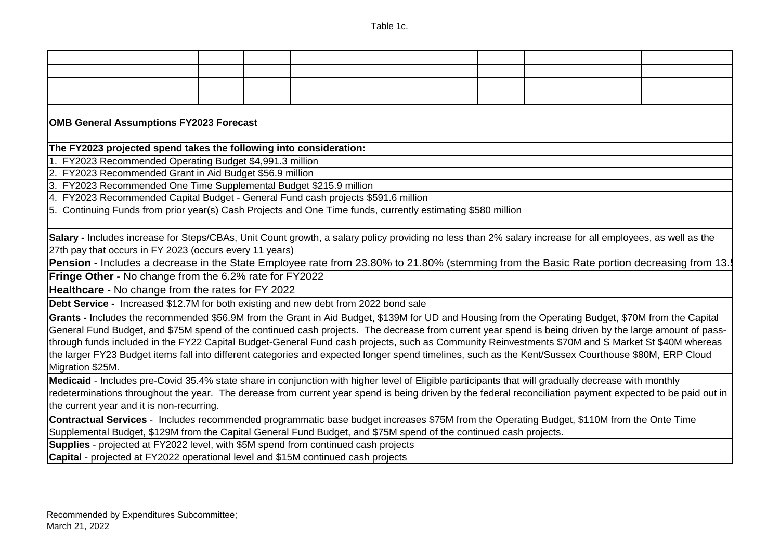| <b>OMB General Assumptions FY2023 Forecast</b>                                                                                                                                                                                                                                                                                                                                                                                                                                                                                                                                                                                                                                                                                                                                                                                                                                                                                                                                                                                                                                                                                                                                                                           |  |  |  |  |  |  |
|--------------------------------------------------------------------------------------------------------------------------------------------------------------------------------------------------------------------------------------------------------------------------------------------------------------------------------------------------------------------------------------------------------------------------------------------------------------------------------------------------------------------------------------------------------------------------------------------------------------------------------------------------------------------------------------------------------------------------------------------------------------------------------------------------------------------------------------------------------------------------------------------------------------------------------------------------------------------------------------------------------------------------------------------------------------------------------------------------------------------------------------------------------------------------------------------------------------------------|--|--|--|--|--|--|
|                                                                                                                                                                                                                                                                                                                                                                                                                                                                                                                                                                                                                                                                                                                                                                                                                                                                                                                                                                                                                                                                                                                                                                                                                          |  |  |  |  |  |  |
| The FY2023 projected spend takes the following into consideration:                                                                                                                                                                                                                                                                                                                                                                                                                                                                                                                                                                                                                                                                                                                                                                                                                                                                                                                                                                                                                                                                                                                                                       |  |  |  |  |  |  |
| 1. FY2023 Recommended Operating Budget \$4,991.3 million                                                                                                                                                                                                                                                                                                                                                                                                                                                                                                                                                                                                                                                                                                                                                                                                                                                                                                                                                                                                                                                                                                                                                                 |  |  |  |  |  |  |
| 2. FY2023 Recommended Grant in Aid Budget \$56.9 million                                                                                                                                                                                                                                                                                                                                                                                                                                                                                                                                                                                                                                                                                                                                                                                                                                                                                                                                                                                                                                                                                                                                                                 |  |  |  |  |  |  |
| 3. FY2023 Recommended One Time Supplemental Budget \$215.9 million                                                                                                                                                                                                                                                                                                                                                                                                                                                                                                                                                                                                                                                                                                                                                                                                                                                                                                                                                                                                                                                                                                                                                       |  |  |  |  |  |  |
| 4. FY2023 Recommended Capital Budget - General Fund cash projects \$591.6 million                                                                                                                                                                                                                                                                                                                                                                                                                                                                                                                                                                                                                                                                                                                                                                                                                                                                                                                                                                                                                                                                                                                                        |  |  |  |  |  |  |
| 5. Continuing Funds from prior year(s) Cash Projects and One Time funds, currently estimating \$580 million                                                                                                                                                                                                                                                                                                                                                                                                                                                                                                                                                                                                                                                                                                                                                                                                                                                                                                                                                                                                                                                                                                              |  |  |  |  |  |  |
| Salary - Includes increase for Steps/CBAs, Unit Count growth, a salary policy providing no less than 2% salary increase for all employees, as well as the<br>27th pay that occurs in FY 2023 (occurs every 11 years)<br>Pension - Includes a decrease in the State Employee rate from 23.80% to 21.80% (stemming from the Basic Rate portion decreasing from 13.<br>Fringe Other - No change from the 6.2% rate for FY2022<br>Healthcare - No change from the rates for FY 2022<br>Debt Service - Increased \$12.7M for both existing and new debt from 2022 bond sale<br>Grants - Includes the recommended \$56.9M from the Grant in Aid Budget, \$139M for UD and Housing from the Operating Budget, \$70M from the Capital<br>General Fund Budget, and \$75M spend of the continued cash projects. The decrease from current year spend is being driven by the large amount of pass-<br>through funds included in the FY22 Capital Budget-General Fund cash projects, such as Community Reinvestments \$70M and S Market St \$40M whereas<br>the larger FY23 Budget items fall into different categories and expected longer spend timelines, such as the Kent/Sussex Courthouse \$80M, ERP Cloud<br>Migration \$25M. |  |  |  |  |  |  |
| Medicaid - Includes pre-Covid 35.4% state share in conjunction with higher level of Eligible participants that will gradually decrease with monthly<br>redeterminations throughout the year. The derease from current year spend is being driven by the federal reconciliation payment expected to be paid out in<br>the current year and it is non-recurring.                                                                                                                                                                                                                                                                                                                                                                                                                                                                                                                                                                                                                                                                                                                                                                                                                                                           |  |  |  |  |  |  |
| Contractual Services - Includes recommended programmatic base budget increases \$75M from the Operating Budget, \$110M from the Onte Time<br>Supplemental Budget, \$129M from the Capital General Fund Budget, and \$75M spend of the continued cash projects.                                                                                                                                                                                                                                                                                                                                                                                                                                                                                                                                                                                                                                                                                                                                                                                                                                                                                                                                                           |  |  |  |  |  |  |
| Supplies - projected at FY2022 level, with \$5M spend from continued cash projects                                                                                                                                                                                                                                                                                                                                                                                                                                                                                                                                                                                                                                                                                                                                                                                                                                                                                                                                                                                                                                                                                                                                       |  |  |  |  |  |  |
| Capital - projected at FY2022 operational level and \$15M continued cash projects                                                                                                                                                                                                                                                                                                                                                                                                                                                                                                                                                                                                                                                                                                                                                                                                                                                                                                                                                                                                                                                                                                                                        |  |  |  |  |  |  |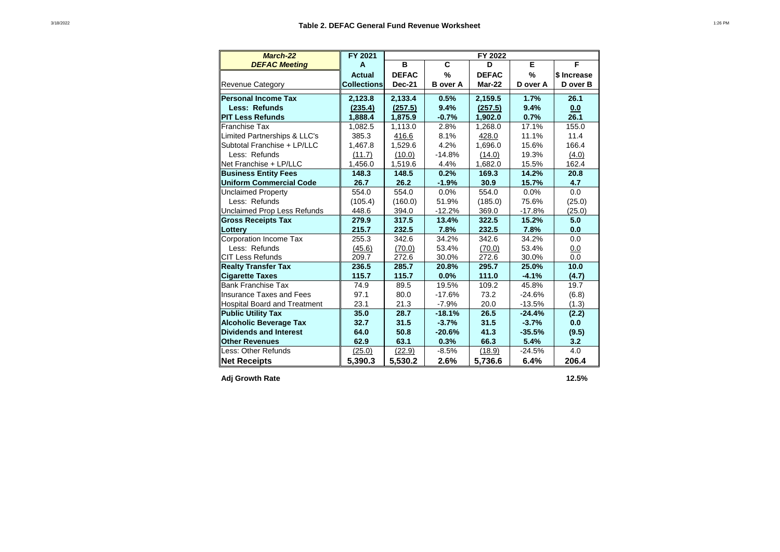| <b>March-22</b>                     | FY 2021            |               |                 | FY 2022      |          |             |
|-------------------------------------|--------------------|---------------|-----------------|--------------|----------|-------------|
| <b>DEFAC Meeting</b>                | A                  | B             | C               | D            | Е        | F           |
|                                     | <b>Actual</b>      | <b>DEFAC</b>  | %               | <b>DEFAC</b> | %        | \$ Increase |
| <b>Revenue Category</b>             | <b>Collections</b> | <b>Dec-21</b> | <b>B</b> over A | Mar-22       | D over A | D over B    |
| Personal Income Tax                 | 2,123.8            | 2,133.4       | 0.5%            | 2,159.5      | 1.7%     | 26.1        |
| Less: Refunds                       | (235.4)            | (257.5)       | 9.4%            | (257.5)      | 9.4%     | 0.0         |
| <b>IPIT Less Refunds</b>            | 1,888.4            | 1,875.9       | $-0.7%$         | 1,902.0      | 0.7%     | 26.1        |
| <b>Franchise Tax</b>                | 1,082.5            | 1,113.0       | 2.8%            | 1,268.0      | 17.1%    | 155.0       |
| Limited Partnerships & LLC's        | 385.3              | 416.6         | 8.1%            | 428.0        | 11.1%    | 11.4        |
| Subtotal Franchise + LP/LLC         | 1,467.8            | 1,529.6       | 4.2%            | 1,696.0      | 15.6%    | 166.4       |
| Less: Refunds                       | (11.7)             | (10.0)        | $-14.8%$        | (14.0)       | 19.3%    | (4.0)       |
| Net Franchise + LP/LLC              | 1,456.0            | 1,519.6       | 4.4%            | 1,682.0      | 15.5%    | 162.4       |
| <b>Business Entity Fees</b>         | 148.3              | 148.5         | 0.2%            | 169.3        | 14.2%    | 20.8        |
| Uniform Commercial Code             | 26.7               | 26.2          | $-1.9%$         | 30.9         | 15.7%    | 4.7         |
| <b>Unclaimed Property</b>           | 554.0              | 554.0         | 0.0%            | 554.0        | 0.0%     | 0.0         |
| Less: Refunds                       | (105.4)            | (160.0)       | 51.9%           | (185.0)      | 75.6%    | (25.0)      |
| Unclaimed Prop Less Refunds         | 448.6              | 394.0         | $-12.2%$        | 369.0        | $-17.8%$ | (25.0)      |
| <b>Gross Receipts Tax</b>           | 279.9              | 317.5         | 13.4%           | 322.5        | 15.2%    | 5.0         |
| Lottery                             | 215.7              | 232.5         | 7.8%            | 232.5        | 7.8%     | 0.0         |
| Corporation Income Tax              | 255.3              | 342.6         | 34.2%           | 342.6        | 34.2%    | 0.0         |
| Less: Refunds                       | (45.6)             | (70.0)        | 53.4%           | (70.0)       | 53.4%    | 0.0         |
| CIT Less Refunds                    | 209.7              | 272.6         | 30.0%           | 272.6        | 30.0%    | 0.0         |
| <b>Realty Transfer Tax</b>          | 236.5              | 285.7         | 20.8%           | 295.7        | 25.0%    | 10.0        |
| <b>Cigarette Taxes</b>              | 115.7              | 115.7         | 0.0%            | 111.0        | $-4.1%$  | (4.7)       |
| Bank Franchise Tax                  | 74.9               | 89.5          | 19.5%           | 109.2        | 45.8%    | 19.7        |
| Insurance Taxes and Fees            | 97.1               | 80.0          | $-17.6%$        | 73.2         | $-24.6%$ | (6.8)       |
| <b>Hospital Board and Treatment</b> | 23.1               | 21.3          | $-7.9%$         | 20.0         | $-13.5%$ | (1.3)       |
| <b>Public Utility Tax</b>           | 35.0               | 28.7          | $-18.1%$        | 26.5         | $-24.4%$ | (2.2)       |
| <b>Alcoholic Beverage Tax</b>       | 32.7               | 31.5          | $-3.7%$         | 31.5         | $-3.7%$  | 0.0         |
| Dividends and Interest              | 64.0               | 50.8          | $-20.6%$        | 41.3         | $-35.5%$ | (9.5)       |
| <b>Other Revenues</b>               | 62.9               | 63.1          | 0.3%            | 66.3         | 5.4%     | 3.2         |
| Less: Other Refunds                 | (25.0)             | (22.9)        | $-8.5%$         | (18.9)       | $-24.5%$ | 4.0         |
| <b>Net Receipts</b>                 | 5,390.3            | 5,530.2       | 2.6%            | 5,736.6      | 6.4%     | 206.4       |

Adj Growth Rate 12.5%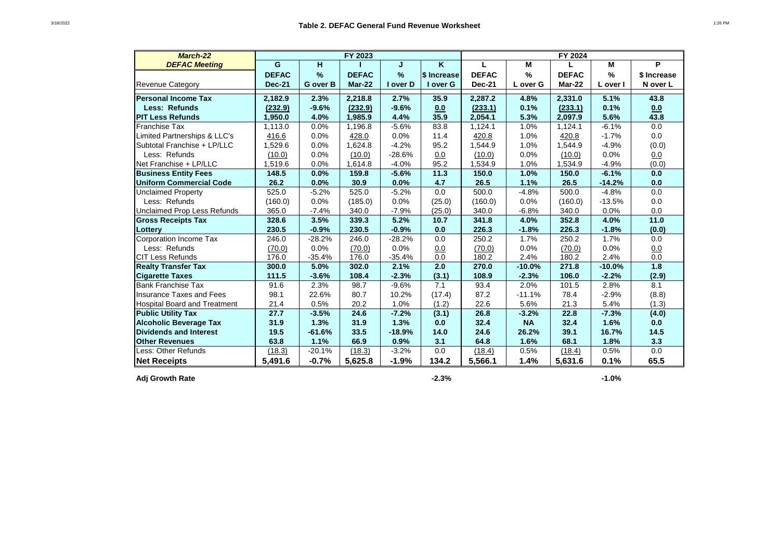| March-22                            |               |               | FY 2023      |               |                    |               |               | FY 2024      |               |             |
|-------------------------------------|---------------|---------------|--------------|---------------|--------------------|---------------|---------------|--------------|---------------|-------------|
| <b>DEFAC Meeting</b>                | G             | H             |              | J             | K                  | L             | M             |              | M             | P           |
|                                     | <b>DEFAC</b>  | $\frac{9}{6}$ | <b>DEFAC</b> | $\frac{9}{6}$ | <b>\$ Increase</b> | <b>DEFAC</b>  | $\frac{9}{6}$ | <b>DEFAC</b> | $\frac{9}{6}$ | \$ Increase |
| <b>Revenue Category</b>             | <b>Dec-21</b> | G over B      | Mar-22       | I over D      | I over G           | <b>Dec-21</b> | L over G      | Mar-22       | L over I      | N over L    |
| <b>Personal Income Tax</b>          | 2,182.9       | 2.3%          | 2,218.8      | 2.7%          | 35.9               | 2,287.2       | 4.8%          | 2,331.0      | 5.1%          | 43.8        |
| <b>Less: Refunds</b>                | (232.9)       | $-9.6%$       | (232.9)      | $-9.6%$       | 0.0                | (233.1)       | 0.1%          | (233.1)      | 0.1%          | 0.0         |
| <b>PIT Less Refunds</b>             | 1.950.0       | 4.0%          | 1,985.9      | 4.4%          | 35.9               | 2,054.1       | 5.3%          | 2,097.9      | 5.6%          | 43.8        |
| Franchise Tax                       | 1,113.0       | 0.0%          | 1,196.8      | $-5.6%$       | 83.8               | 1,124.1       | 1.0%          | 1,124.1      | $-6.1%$       | 0.0         |
| Limited Partnerships & LLC's        | 416.6         | 0.0%          | 428.0        | 0.0%          | 11.4               | 420.8         | 1.0%          | 420.8        | $-1.7%$       | 0.0         |
| Subtotal Franchise + LP/LLC         | 1,529.6       | 0.0%          | 1,624.8      | $-4.2%$       | 95.2               | 1,544.9       | 1.0%          | 1,544.9      | $-4.9%$       | (0.0)       |
| Less: Refunds                       | (10.0)        | 0.0%          | (10.0)       | $-28.6%$      | 0.0                | (10.0)        | 0.0%          | (10.0)       | 0.0%          | 0.0         |
| Net Franchise + LP/LLC              | 1,519.6       | 0.0%          | 1,614.8      | $-4.0%$       | 95.2               | 1,534.9       | 1.0%          | 1,534.9      | $-4.9%$       | (0.0)       |
| <b>Business Entity Fees</b>         | 148.5         | 0.0%          | 159.8        | $-5.6%$       | 11.3               | 150.0         | 1.0%          | 150.0        | $-6.1%$       | 0.0         |
| <b>Uniform Commercial Code</b>      | 26.2          | 0.0%          | 30.9         | 0.0%          | 4.7                | 26.5          | 1.1%          | 26.5         | $-14.2%$      | 0.0         |
| <b>Unclaimed Property</b>           | 525.0         | $-5.2%$       | 525.0        | $-5.2%$       | 0.0                | 500.0         | $-4.8%$       | 500.0        | $-4.8%$       | 0.0         |
| Less: Refunds                       | (160.0)       | 0.0%          | (185.0)      | 0.0%          | (25.0)             | (160.0)       | 0.0%          | (160.0)      | $-13.5%$      | 0.0         |
| <b>Unclaimed Prop Less Refunds</b>  | 365.0         | $-7.4%$       | 340.0        | $-7.9%$       | (25.0)             | 340.0         | $-6.8%$       | 340.0        | 0.0%          | 0.0         |
| <b>Gross Receipts Tax</b>           | 328.6         | 3.5%          | 339.3        | 5.2%          | 10.7               | 341.8         | 4.0%          | 352.8        | 4.0%          | 11.0        |
| Lottery                             | 230.5         | $-0.9%$       | 230.5        | $-0.9%$       | 0.0                | 226.3         | $-1.8%$       | 226.3        | $-1.8%$       | (0.0)       |
| Corporation Income Tax              | 246.0         | $-28.2%$      | 246.0        | $-28.2%$      | 0.0                | 250.2         | 1.7%          | 250.2        | 1.7%          | 0.0         |
| Less: Refunds                       | (70.0)        | 0.0%          | (70.0)       | 0.0%          | 0.0                | (70.0)        | 0.0%          | (70.0)       | 0.0%          | 0.0         |
| <b>CIT Less Refunds</b>             | 176.0         | $-35.4%$      | 176.0        | $-35.4%$      | 0.0                | 180.2         | 2.4%          | 180.2        | 2.4%          | 0.0         |
| <b>Realty Transfer Tax</b>          | 300.0         | 5.0%          | 302.0        | 2.1%          | 2.0                | 270.0         | $-10.0%$      | 271.8        | $-10.0%$      | 1.8         |
| <b>Cigarette Taxes</b>              | 111.5         | $-3.6%$       | 108.4        | $-2.3%$       | (3.1)              | 108.9         | $-2.3%$       | 106.0        | $-2.2%$       | (2.9)       |
| <b>Bank Franchise Tax</b>           | 91.6          | 2.3%          | 98.7         | $-9.6%$       | 7.1                | 93.4          | 2.0%          | 101.5        | 2.8%          | 8.1         |
| <b>Insurance Taxes and Fees</b>     | 98.1          | 22.6%         | 80.7         | 10.2%         | (17.4)             | 87.2          | $-11.1%$      | 78.4         | $-2.9%$       | (8.8)       |
| <b>Hospital Board and Treatment</b> | 21.4          | 0.5%          | 20.2         | 1.0%          | (1.2)              | 22.6          | 5.6%          | 21.3         | 5.4%          | (1.3)       |
| <b>Public Utility Tax</b>           | 27.7          | $-3.5%$       | 24.6         | $-7.2%$       | (3.1)              | 26.8          | $-3.2%$       | 22.8         | $-7.3%$       | (4.0)       |
| <b>Alcoholic Beverage Tax</b>       | 31.9          | 1.3%          | 31.9         | 1.3%          | 0.0                | 32.4          | <b>NA</b>     | 32.4         | 1.6%          | 0.0         |
| <b>Dividends and Interest</b>       | 19.5          | $-61.6%$      | 33.5         | $-18.9%$      | 14.0               | 24.6          | 26.2%         | 39.1         | 16.7%         | 14.5        |
| <b>Other Revenues</b>               | 63.8          | 1.1%          | 66.9         | 0.9%          | 3.1                | 64.8          | 1.6%          | 68.1         | 1.8%          | 3.3         |
| Less: Other Refunds                 | (18.3)        | $-20.1%$      | (18.3)       | $-3.2%$       | 0.0                | (18.4)        | 0.5%          | (18.4)       | 0.5%          | 0.0         |
| <b>Net Receipts</b>                 | 5,491.6       | $-0.7%$       | 5,625.8      | $-1.9%$       | 134.2              | 5,566.1       | 1.4%          | 5,631.6      | 0.1%          | 65.5        |

**Adj Growth Rate**

**-2.3% -1.0%**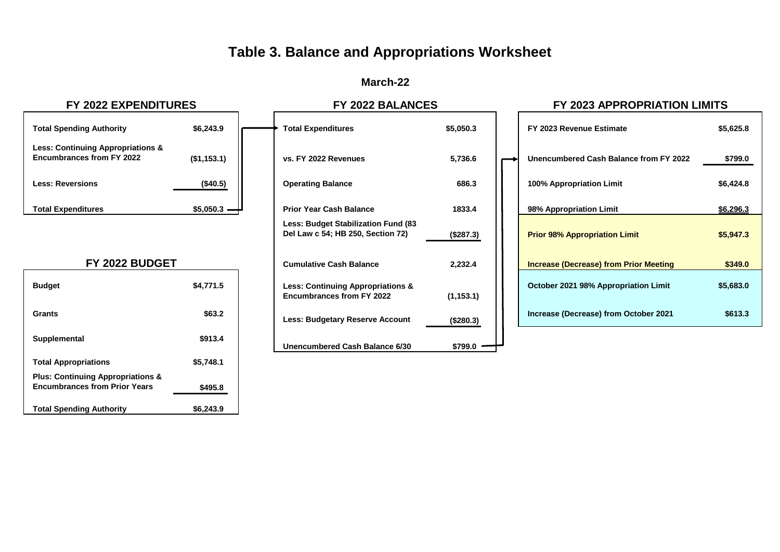# **Table 3. Balance and Appropriations Worksheet**

# **March-22**

| <b>Total Spending Authority</b>                                                  | \$6,243.9   |
|----------------------------------------------------------------------------------|-------------|
| <b>Less: Continuing Appropriations &amp;</b><br><b>Encumbrances from FY 2022</b> | (\$1,153.1) |
| <b>Less: Reversions</b>                                                          | $($ \$40.5) |
| <b>Total Expenditures</b>                                                        | \$5,050.3   |

## **FY 2022 BUDGET**

| <b>Budget</b>                                                                        | \$4,771.5 | <b>Less: Continuing Appropriations &amp;</b><br><b>Encumbrances from FY 2022</b> |
|--------------------------------------------------------------------------------------|-----------|----------------------------------------------------------------------------------|
| Grants                                                                               | \$63.2    | <b>Less: Budgetary Reserve Account</b>                                           |
| Supplemental                                                                         | \$913.4   | Unencumbered Cash Balance 6/30                                                   |
| <b>Total Appropriations</b>                                                          | \$5,748.1 |                                                                                  |
| <b>Plus: Continuing Appropriations &amp;</b><br><b>Encumbrances from Prior Years</b> | \$495.8   |                                                                                  |
| <b>Total Spending Authority</b>                                                      | \$6,243.9 |                                                                                  |

| Total Expenditures                                                               | \$5,050.3  |
|----------------------------------------------------------------------------------|------------|
| vs. FY 2022 Revenues                                                             | 5,736.6    |
| <b>Operating Balance</b>                                                         | 686.3      |
| <b>Prior Year Cash Balance</b>                                                   | 1833.4     |
| <b>Less: Budget Stabilization Fund (83)</b><br>Del Law c 54; HB 250, Section 72) | (\$287.3)  |
| <b>Cumulative Cash Balance</b>                                                   | 2,232.4    |
| <b>Less: Continuing Appropriations &amp;</b><br><b>Encumbrances from FY 2022</b> | (1, 153.1) |
| <b>Less: Budgetary Reserve Account</b>                                           | (\$280.3)  |
| Unencumbered Cash Balance 6/30                                                   | \$799.0    |

# **FY 2022 EXPENDITURES FY 2022 BALANCES FY 2023 APPROPRIATION LIMITS**

| <b>Total Spending Authority</b>                                                  | \$6,243.9    | <b>Total Expenditures</b>                                                        | \$5,050.3  | FY 2023 Revenue Estimate                      | \$5,625.8 |
|----------------------------------------------------------------------------------|--------------|----------------------------------------------------------------------------------|------------|-----------------------------------------------|-----------|
| <b>Less: Continuing Appropriations &amp;</b><br><b>Encumbrances from FY 2022</b> | (\$1,153.1)  | vs. FY 2022 Revenues                                                             | 5,736.6    | Unencumbered Cash Balance from FY 2022        | \$799.0   |
| <b>Less: Reversions</b>                                                          | (\$40.5)     | <b>Operating Balance</b>                                                         | 686.3      | 100% Appropriation Limit                      | \$6,424.8 |
| <b>Total Expenditures</b>                                                        | $$5,050.3$ - | <b>Prior Year Cash Balance</b>                                                   | 1833.4     | 98% Appropriation Limit                       | \$6,296.3 |
|                                                                                  |              | Less: Budget Stabilization Fund (83)<br>Del Law c 54; HB 250, Section 72)        | (\$287.3)  | <b>Prior 98% Appropriation Limit</b>          | \$5,947.3 |
| FY 2022 BUDGET                                                                   |              | <b>Cumulative Cash Balance</b>                                                   | 2,232.4    | <b>Increase (Decrease) from Prior Meeting</b> | \$349.0   |
| <b>Budget</b>                                                                    | \$4,771.5    | <b>Less: Continuing Appropriations &amp;</b><br><b>Encumbrances from FY 2022</b> | (1, 153.1) | October 2021 98% Appropriation Limit          | \$5,683.0 |
| <b>Grants</b>                                                                    | \$63.2       | <b>Less: Budgetary Reserve Account</b>                                           | (\$280.3)  | Increase (Decrease) from October 2021         | \$613.3   |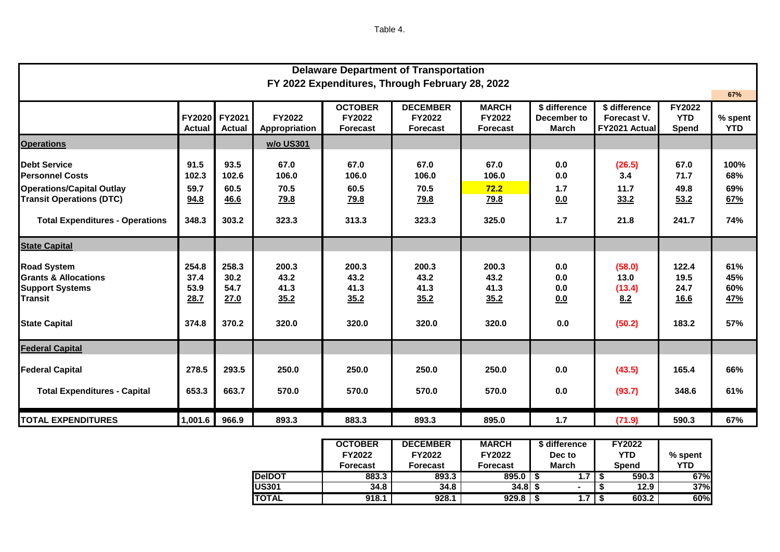Table 4.

| <b>Delaware Department of Transportation</b>                                                                                                                   |                                        |                                        |                                               |                                               |                                               |                                                  |                                              |                                               |                                               |                                  |
|----------------------------------------------------------------------------------------------------------------------------------------------------------------|----------------------------------------|----------------------------------------|-----------------------------------------------|-----------------------------------------------|-----------------------------------------------|--------------------------------------------------|----------------------------------------------|-----------------------------------------------|-----------------------------------------------|----------------------------------|
| FY 2022 Expenditures, Through February 28, 2022                                                                                                                |                                        |                                        |                                               |                                               |                                               |                                                  |                                              |                                               |                                               | 67%                              |
|                                                                                                                                                                | <b>FY2020</b><br><b>Actual</b>         | FY2021<br><b>Actual</b>                | <b>FY2022</b><br>Appropriation                | <b>OCTOBER</b><br>FY2022<br><b>Forecast</b>   | <b>DECEMBER</b><br>FY2022<br><b>Forecast</b>  | <b>MARCH</b><br><b>FY2022</b><br><b>Forecast</b> | \$ difference<br>December to<br><b>March</b> | \$ difference<br>Forecast V.<br>FY2021 Actual | FY2022<br><b>YTD</b><br>Spend                 | % spent<br><b>YTD</b>            |
| <b>Operations</b>                                                                                                                                              |                                        |                                        | w/o US301                                     |                                               |                                               |                                                  |                                              |                                               |                                               |                                  |
| <b>Debt Service</b><br><b>Personnel Costs</b><br><b>Operations/Capital Outlay</b><br><b>Transit Operations (DTC)</b><br><b>Total Expenditures - Operations</b> | 91.5<br>102.3<br>59.7<br>94.8<br>348.3 | 93.5<br>102.6<br>60.5<br>46.6<br>303.2 | 67.0<br>106.0<br>70.5<br><u>79.8</u><br>323.3 | 67.0<br>106.0<br>60.5<br><u>79.8</u><br>313.3 | 67.0<br>106.0<br>70.5<br><u>79.8</u><br>323.3 | 67.0<br>106.0<br>72.2<br><u>79.8</u><br>325.0    | 0.0<br>0.0<br>1.7<br>0.0<br>1.7              | (26.5)<br>3.4<br>11.7<br>33.2<br>21.8         | 67.0<br>71.7<br>49.8<br>53.2<br>241.7         | 100%<br>68%<br>69%<br>67%<br>74% |
| <b>State Capital</b>                                                                                                                                           |                                        |                                        |                                               |                                               |                                               |                                                  |                                              |                                               |                                               |                                  |
| <b>Road System</b><br><b>Grants &amp; Allocations</b><br><b>Support Systems</b><br><b>Transit</b><br><b>State Capital</b>                                      | 254.8<br>37.4<br>53.9<br>28.7<br>374.8 | 258.3<br>30.2<br>54.7<br>27.0<br>370.2 | 200.3<br>43.2<br>41.3<br>35.2<br>320.0        | 200.3<br>43.2<br>41.3<br>35.2<br>320.0        | 200.3<br>43.2<br>41.3<br>35.2<br>320.0        | 200.3<br>43.2<br>41.3<br>35.2<br>320.0           | 0.0<br>0.0<br>0.0<br>0.0<br>0.0              | (58.0)<br>13.0<br>(13.4)<br>8.2<br>(50.2)     | 122.4<br>19.5<br>24.7<br><u>16.6</u><br>183.2 | 61%<br>45%<br>60%<br>47%<br>57%  |
| <b>Federal Capital</b>                                                                                                                                         |                                        |                                        |                                               |                                               |                                               |                                                  |                                              |                                               |                                               |                                  |
| <b>Federal Capital</b><br><b>Total Expenditures - Capital</b>                                                                                                  | 278.5<br>653.3                         | 293.5<br>663.7                         | 250.0<br>570.0                                | 250.0<br>570.0                                | 250.0<br>570.0                                | 250.0<br>570.0                                   | 0.0<br>0.0                                   | (43.5)<br>(93.7)                              | 165.4<br>348.6                                | 66%<br>61%                       |
| <b>TOTAL EXPENDITURES</b>                                                                                                                                      | 1,001.6                                | 966.9                                  | 893.3                                         | 883.3                                         | 893.3                                         | 895.0                                            | $1.7$                                        | (71.9)                                        | 590.3                                         | 67%                              |

|               | <b>OCTOBER</b>  | <b>DECEMBER</b> | <b>MARCH</b>    | \$ difference | <b>FY2022</b> |         |  |
|---------------|-----------------|-----------------|-----------------|---------------|---------------|---------|--|
|               | FY2022          | FY2022          | <b>FY2022</b>   | Dec to        | <b>YTD</b>    | % spent |  |
|               | <b>Forecast</b> | Forecast        | <b>Forecast</b> | <b>March</b>  | <b>Spend</b>  | YTD     |  |
| <b>DeIDOT</b> | 883.3           | 893.3           | 895.0           | 1.7           | 590.3         | 67%     |  |
| <b>US301</b>  | 34.8            | 34.8            | 34.8I           |               | 12.9          | 37%     |  |
| TOTAL         | 918.1           | 928.1           | 929.8           | 1.7           | 603.2         | 60%     |  |